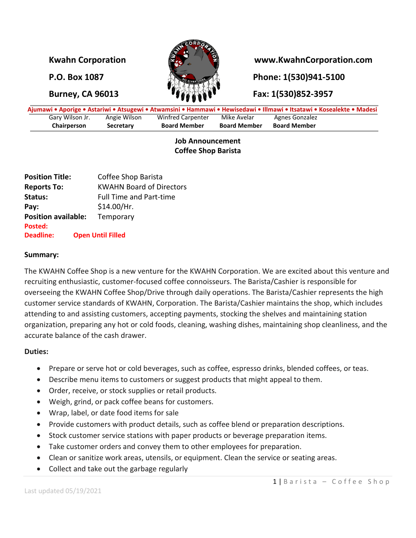

## **Kwahn Corporation www.KwahnCorporation.com**

**P.O. Box 1087 Phone: 1(530)941-5100** 

# **Burney, CA 96013 Fax: 1(530)852-3957**

|                 |              |                     |                     | Ajumawi • Aporige • Astariwi • Atsugewi • Atwamsini • Hammawi • Hewisedawi • Illmawi • Itsatawi • Kosealekte • Madesi |  |
|-----------------|--------------|---------------------|---------------------|-----------------------------------------------------------------------------------------------------------------------|--|
| Gary Wilson Jr. | Angie Wilson | Winfred Carpenter   | Mike Avelar         | Agnes Gonzalez                                                                                                        |  |
| Chairperson     | Secretary    | <b>Board Member</b> | <b>Board Member</b> | <b>Board Member</b>                                                                                                   |  |

### **Job Announcement Coffee Shop Barista**

| Coffee Shop Barista                     |
|-----------------------------------------|
| <b>KWAHN Board of Directors</b>         |
| <b>Full Time and Part-time</b>          |
| \$14.00/Hr.                             |
| <b>Position available:</b><br>Temporary |
|                                         |
| <b>Open Until Filled</b>                |
|                                         |

#### **Summary:**

The KWAHN Coffee Shop is a new venture for the KWAHN Corporation. We are excited about this venture and recruiting enthusiastic, customer-focused coffee connoisseurs. The Barista/Cashier is responsible for overseeing the KWAHN Coffee Shop/Drive through daily operations. The Barista/Cashier represents the high customer service standards of KWAHN, Corporation. The Barista/Cashier maintains the shop, which includes attending to and assisting customers, accepting payments, stocking the shelves and maintaining station organization, preparing any hot or cold foods, cleaning, washing dishes, maintaining shop cleanliness, and the accurate balance of the cash drawer.

### **Duties:**

- Prepare or serve hot or cold beverages, such as coffee, espresso drinks, blended coffees, or teas.
- Describe menu items to customers or suggest products that might appeal to them.
- Order, receive, or stock supplies or retail products.
- Weigh, grind, or pack coffee beans for customers.
- Wrap, label, or date food items for sale
- Provide customers with product details, such as coffee blend or preparation descriptions.
- Stock customer service stations with paper products or beverage preparation items.
- Take customer orders and convey them to other employees for preparation.
- Clean or sanitize work areas, utensils, or equipment. Clean the service or seating areas.
- Collect and take out the garbage regularly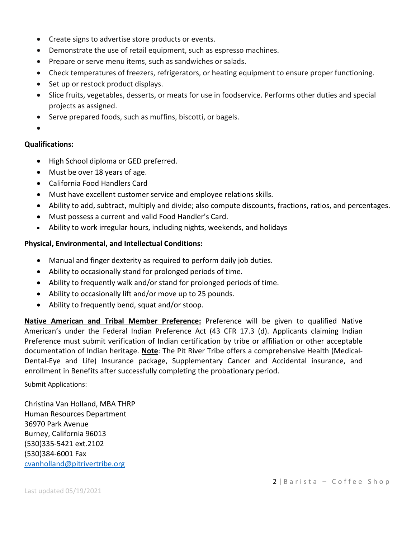- Create signs to advertise store products or events.
- Demonstrate the use of retail equipment, such as espresso machines.
- Prepare or serve menu items, such as sandwiches or salads.
- Check temperatures of freezers, refrigerators, or heating equipment to ensure proper functioning.
- Set up or restock product displays.
- Slice fruits, vegetables, desserts, or meats for use in foodservice. Performs other duties and special projects as assigned.
- Serve prepared foods, such as muffins, biscotti, or bagels.
- •

### **Qualifications:**

- High School diploma or GED preferred.
- Must be over 18 years of age.
- California Food Handlers Card
- Must have excellent customer service and employee relations skills.
- Ability to add, subtract, multiply and divide; also compute discounts, fractions, ratios, and percentages.
- Must possess a current and valid Food Handler's Card.
- Ability to work irregular hours, including nights, weekends, and holidays

### **Physical, Environmental, and Intellectual Conditions:**

- Manual and finger dexterity as required to perform daily job duties.
- Ability to occasionally stand for prolonged periods of time.
- Ability to frequently walk and/or stand for prolonged periods of time.
- Ability to occasionally lift and/or move up to 25 pounds.
- Ability to frequently bend, squat and/or stoop.

**Native American and Tribal Member Preference:** Preference will be given to qualified Native American's under the Federal Indian Preference Act (43 CFR 17.3 (d). Applicants claiming Indian Preference must submit verification of Indian certification by tribe or affiliation or other acceptable documentation of Indian heritage. **Note**: The Pit River Tribe offers a comprehensive Health (Medical-Dental-Eye and Life) Insurance package, Supplementary Cancer and Accidental insurance, and enrollment in Benefits after successfully completing the probationary period.

Submit Applications:

Christina Van Holland, MBA THRP Human Resources Department 36970 Park Avenue Burney, California 96013 (530)335-5421 ext.2102 (530)384-6001 Fax [cvanholland@pitrivertribe.org](mailto:cvanholland@pitrivertribe.org)